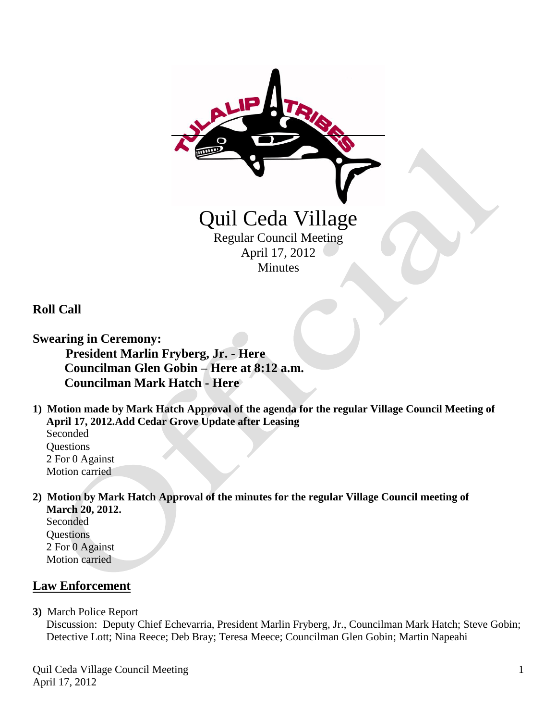

**Roll Call**

**Swearing in Ceremony: President Marlin Fryberg, Jr. - Here Councilman Glen Gobin – Here at 8:12 a.m. Councilman Mark Hatch - Here**

**1) Motion made by Mark Hatch Approval of the agenda for the regular Village Council Meeting of April 17, 2012.Add Cedar Grove Update after Leasing**

Seconded **Questions**  2 For 0 Against Motion carried

**2) Motion by Mark Hatch Approval of the minutes for the regular Village Council meeting of March 20, 2012.**

Seconded **Questions**  2 For 0 Against Motion carried

# **Law Enforcement**

**3)** March Police Report

 Discussion: Deputy Chief Echevarria, President Marlin Fryberg, Jr., Councilman Mark Hatch; Steve Gobin; Detective Lott; Nina Reece; Deb Bray; Teresa Meece; Councilman Glen Gobin; Martin Napeahi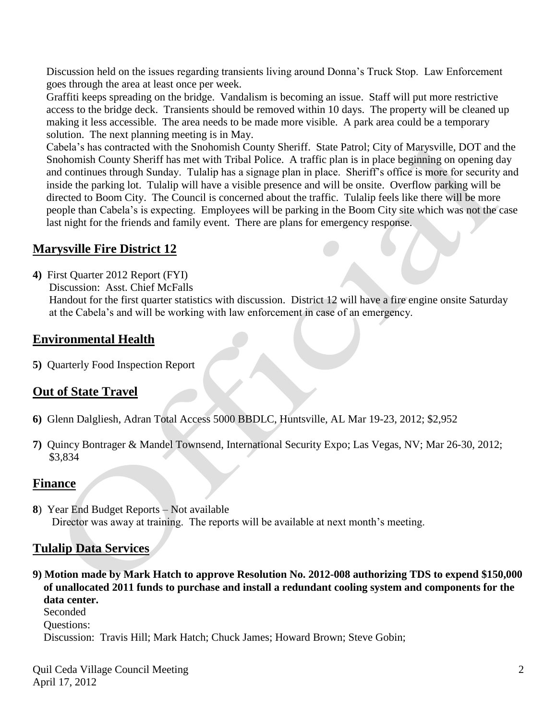Discussion held on the issues regarding transients living around Donna's Truck Stop. Law Enforcement goes through the area at least once per week.

 Graffiti keeps spreading on the bridge. Vandalism is becoming an issue. Staff will put more restrictive access to the bridge deck. Transients should be removed within 10 days. The property will be cleaned up making it less accessible. The area needs to be made more visible. A park area could be a temporary solution. The next planning meeting is in May.

 Cabela's has contracted with the Snohomish County Sheriff. State Patrol; City of Marysville, DOT and the Snohomish County Sheriff has met with Tribal Police. A traffic plan is in place beginning on opening day and continues through Sunday. Tulalip has a signage plan in place. Sheriff's office is more for security and inside the parking lot. Tulalip will have a visible presence and will be onsite. Overflow parking will be directed to Boom City. The Council is concerned about the traffic. Tulalip feels like there will be more people than Cabela's is expecting. Employees will be parking in the Boom City site which was not the case last night for the friends and family event. There are plans for emergency response.

## **Marysville Fire District 12**

- **4)** First Quarter 2012 Report (FYI)
	- Discussion: Asst. Chief McFalls

 Handout for the first quarter statistics with discussion. District 12 will have a fire engine onsite Saturday at the Cabela's and will be working with law enforcement in case of an emergency.

### **Environmental Health**

**5)** Quarterly Food Inspection Report

### **Out of State Travel**

- **6)** Glenn Dalgliesh, Adran Total Access 5000 BBDLC, Huntsville, AL Mar 19-23, 2012; \$2,952
- **7)** Quincy Bontrager & Mandel Townsend, International Security Expo; Las Vegas, NV; Mar 26-30, 2012; \$3,834

#### **Finance**

**8**) Year End Budget Reports – Not available Director was away at training. The reports will be available at next month's meeting.

### **Tulalip Data Services**

**9) Motion made by Mark Hatch to approve Resolution No. 2012-008 authorizing TDS to expend \$150,000 of unallocated 2011 funds to purchase and install a redundant cooling system and components for the data center.**

 Seconded Questions: Discussion: Travis Hill; Mark Hatch; Chuck James; Howard Brown; Steve Gobin;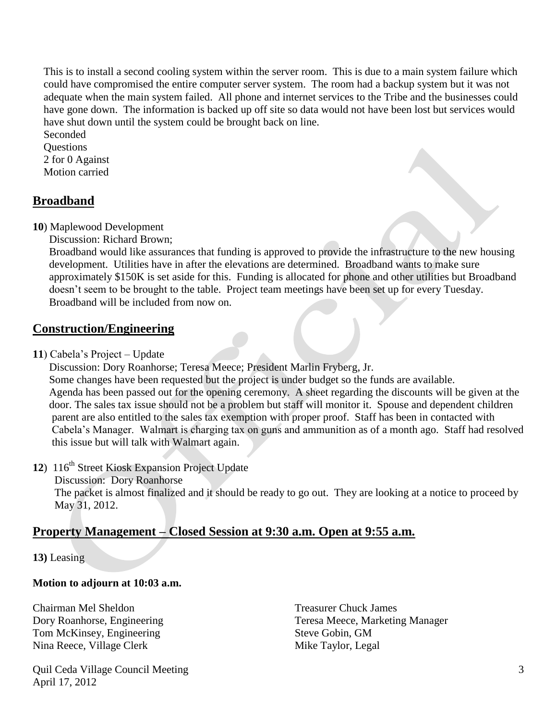This is to install a second cooling system within the server room. This is due to a main system failure which could have compromised the entire computer server system. The room had a backup system but it was not adequate when the main system failed. All phone and internet services to the Tribe and the businesses could have gone down. The information is backed up off site so data would not have been lost but services would have shut down until the system could be brought back on line.

 Seconded Questions 2 for 0 Against Motion carried

### **Broadband**

**10**) Maplewood Development

Discussion: Richard Brown;

 Broadband would like assurances that funding is approved to provide the infrastructure to the new housing development. Utilities have in after the elevations are determined. Broadband wants to make sure approximately \$150K is set aside for this. Funding is allocated for phone and other utilities but Broadband doesn't seem to be brought to the table. Project team meetings have been set up for every Tuesday. Broadband will be included from now on.

### **Construction/Engineering**

**11**) Cabela's Project – Update

 Discussion: Dory Roanhorse; Teresa Meece; President Marlin Fryberg, Jr. Some changes have been requested but the project is under budget so the funds are available. Agenda has been passed out for the opening ceremony. A sheet regarding the discounts will be given at the door. The sales tax issue should not be a problem but staff will monitor it. Spouse and dependent children parent are also entitled to the sales tax exemption with proper proof. Staff has been in contacted with Cabela's Manager. Walmart is charging tax on guns and ammunition as of a month ago. Staff had resolved this issue but will talk with Walmart again.

- 12) 116<sup>th</sup> Street Kiosk Expansion Project Update
	- Discussion: Dory Roanhorse

 The packet is almost finalized and it should be ready to go out. They are looking at a notice to proceed by May 31, 2012.

### **Property Management – Closed Session at 9:30 a.m. Open at 9:55 a.m.**

**13)** Leasing

#### **Motion to adjourn at 10:03 a.m.**

Chairman Mel Sheldon Treasurer Chuck James Tom McKinsey, Engineering Steve Gobin, GM Nina Reece, Village Clerk Mike Taylor, Legal

Quil Ceda Village Council Meeting April 17, 2012

Dory Roanhorse, Engineering Teresa Meece, Marketing Manager